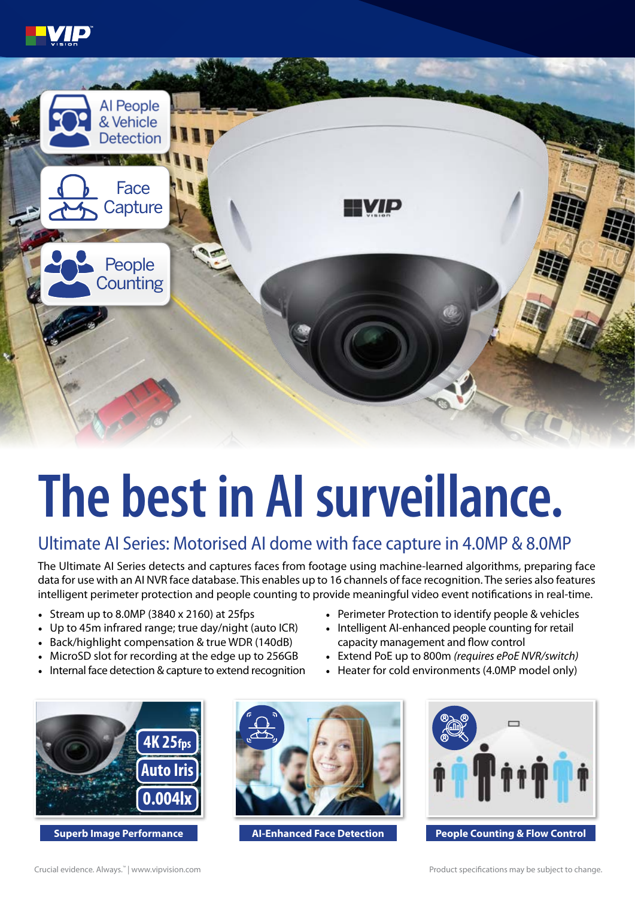



## **The best in AI surveillance.**

## Ultimate AI Series: Motorised AI dome with face capture in 4.0MP & 8.0MP

The Ultimate AI Series detects and captures faces from footage using machine-learned algorithms, preparing face data for use with an AI NVR face database. This enables up to 16 channels of face recognition. The series also features intelligent perimeter protection and people counting to provide meaningful video event notifications in real-time.

- Stream up to 8.0MP (3840 x 2160) at 25fps
- Up to 45m infrared range; true day/night (auto ICR)
- Back/highlight compensation & true WDR (140dB)
- MicroSD slot for recording at the edge up to 256GB
- Internal face detection & capture to extend recognition
- Perimeter Protection to identify people & vehicles
- Intelligent AI-enhanced people counting for retail capacity management and flow control
- Extend PoE up to 800m *(requires ePoE NVR/switch)*
- Heater for cold environments (4.0MP model only)







**Superb Image Performance <b>AI-Enhanced Face Detection People Counting & Flow Control**